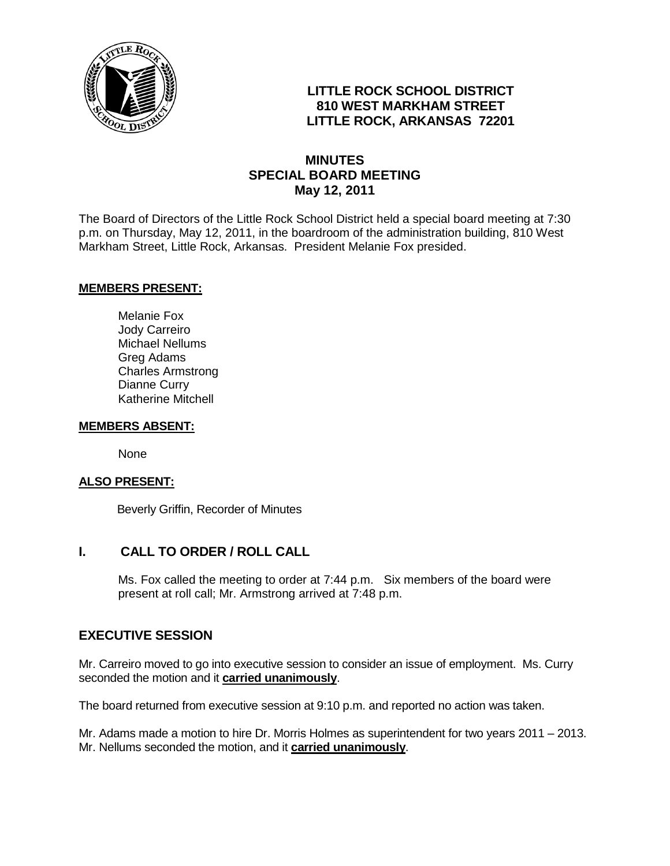

# **LITTLE ROCK SCHOOL DISTRICT 810 WEST MARKHAM STREET LITTLE ROCK, ARKANSAS 72201**

## **MINUTES SPECIAL BOARD MEETING May 12, 2011**

The Board of Directors of the Little Rock School District held a special board meeting at 7:30 p.m. on Thursday, May 12, 2011, in the boardroom of the administration building, 810 West Markham Street, Little Rock, Arkansas. President Melanie Fox presided.

## **MEMBERS PRESENT:**

Melanie Fox Jody Carreiro Michael Nellums Greg Adams Charles Armstrong Dianne Curry Katherine Mitchell

#### **MEMBERS ABSENT:**

None

#### **ALSO PRESENT:**

Beverly Griffin, Recorder of Minutes

## **I. CALL TO ORDER / ROLL CALL**

Ms. Fox called the meeting to order at 7:44 p.m. Six members of the board were present at roll call; Mr. Armstrong arrived at 7:48 p.m.

## **EXECUTIVE SESSION**

Mr. Carreiro moved to go into executive session to consider an issue of employment. Ms. Curry seconded the motion and it **carried unanimously**.

The board returned from executive session at 9:10 p.m. and reported no action was taken.

Mr. Adams made a motion to hire Dr. Morris Holmes as superintendent for two years 2011 – 2013. Mr. Nellums seconded the motion, and it **carried unanimously**.